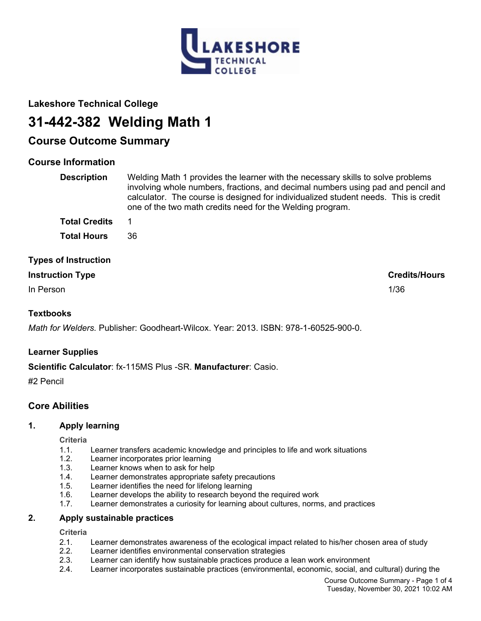

# **Lakeshore Technical College**

# **31-442-382 Welding Math 1**

# **Course Outcome Summary**

# **Course Information**

| <b>Description</b>          | Welding Math 1 provides the learner with the necessary skills to solve problems<br>involving whole numbers, fractions, and decimal numbers using pad and pencil and<br>calculator. The course is designed for individualized student needs. This is credit<br>one of the two math credits need for the Welding program. |
|-----------------------------|-------------------------------------------------------------------------------------------------------------------------------------------------------------------------------------------------------------------------------------------------------------------------------------------------------------------------|
| <b>Total Credits</b>        |                                                                                                                                                                                                                                                                                                                         |
| <b>Total Hours</b>          | 36                                                                                                                                                                                                                                                                                                                      |
| <b>Types of Instruction</b> |                                                                                                                                                                                                                                                                                                                         |

| <b>Instruction Type</b> | <b>Credits/Hours</b> |
|-------------------------|----------------------|
| In Person               | 1/36                 |

# **Textbooks**

*Math for Welders.* Publisher: Goodheart-Wilcox. Year: 2013. ISBN: 978-1-60525-900-0.

# **Learner Supplies**

# **Scientific Calculator**: fx-115MS Plus -SR. **Manufacturer**: Casio.

#2 Pencil

# **Core Abilities**

# **1. Apply learning**

**Criteria**

- 1.1. Learner transfers academic knowledge and principles to life and work situations
- Learner incorporates prior learning
- 1.3. Learner knows when to ask for help
- 1.4. Learner demonstrates appropriate safety precautions
- 1.5. Learner identifies the need for lifelong learning
- 1.6. Learner develops the ability to research beyond the required work
- 1.7. Learner demonstrates a curiosity for learning about cultures, norms, and practices

#### **2. Apply sustainable practices**

**Criteria**

- 2.1. Learner demonstrates awareness of the ecological impact related to his/her chosen area of study
- 2.2. Learner identifies environmental conservation strategies
- 2.3. Learner can identify how sustainable practices produce a lean work environment
- 2.4. Learner incorporates sustainable practices (environmental, economic, social, and cultural) during the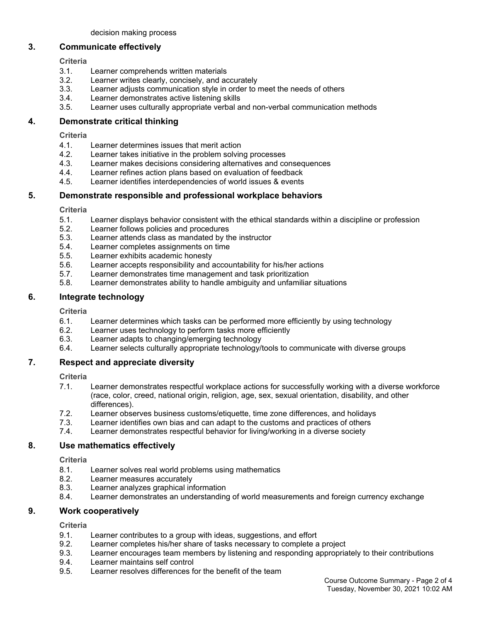#### **3. Communicate effectively**

**Criteria**

- 3.1. Learner comprehends written materials
- 3.2. Learner writes clearly, concisely, and accurately
- 3.3. Learner adjusts communication style in order to meet the needs of others
- 3.4. Learner demonstrates active listening skills
- 3.5. Learner uses culturally appropriate verbal and non-verbal communication methods

# **4. Demonstrate critical thinking**

**Criteria**

- 4.1. Learner determines issues that merit action
- 4.2. Learner takes initiative in the problem solving processes
- 4.3. Learner makes decisions considering alternatives and consequences
- 4.4. Learner refines action plans based on evaluation of feedback<br>4.5. Learner identifies interdependencies of world issues & events
- Learner identifies interdependencies of world issues & events

# **5. Demonstrate responsible and professional workplace behaviors**

**Criteria**

- 5.1. Learner displays behavior consistent with the ethical standards within a discipline or profession
- 5.2. Learner follows policies and procedures
- 5.3. Learner attends class as mandated by the instructor
- 5.4. Learner completes assignments on time
- 5.5. Learner exhibits academic honesty
- 5.6. Learner accepts responsibility and accountability for his/her actions
- 5.7. Learner demonstrates time management and task prioritization
- 5.8. Learner demonstrates ability to handle ambiguity and unfamiliar situations

# **6. Integrate technology**

**Criteria**

- 6.1. Learner determines which tasks can be performed more efficiently by using technology
- 6.2. Learner uses technology to perform tasks more efficiently
- 6.3. Learner adapts to changing/emerging technology
- 6.4. Learner selects culturally appropriate technology/tools to communicate with diverse groups

# **7. Respect and appreciate diversity**

**Criteria**

- 7.1. Learner demonstrates respectful workplace actions for successfully working with a diverse workforce (race, color, creed, national origin, religion, age, sex, sexual orientation, disability, and other differences).
- 7.2. Learner observes business customs/etiquette, time zone differences, and holidays
- 7.3. Learner identifies own bias and can adapt to the customs and practices of others
- 7.4. Learner demonstrates respectful behavior for living/working in a diverse society

# **8. Use mathematics effectively**

**Criteria**

- 8.1. Learner solves real world problems using mathematics
- 8.2. Learner measures accurately
- 8.3. Learner analyzes graphical information
- 8.4. Learner demonstrates an understanding of world measurements and foreign currency exchange

# **9. Work cooperatively**

**Criteria**

- 9.1. Learner contributes to a group with ideas, suggestions, and effort
- 9.2. Learner completes his/her share of tasks necessary to complete a project
- 9.3. Learner encourages team members by listening and responding appropriately to their contributions
- 9.4. Learner maintains self control
- 9.5. Learner resolves differences for the benefit of the team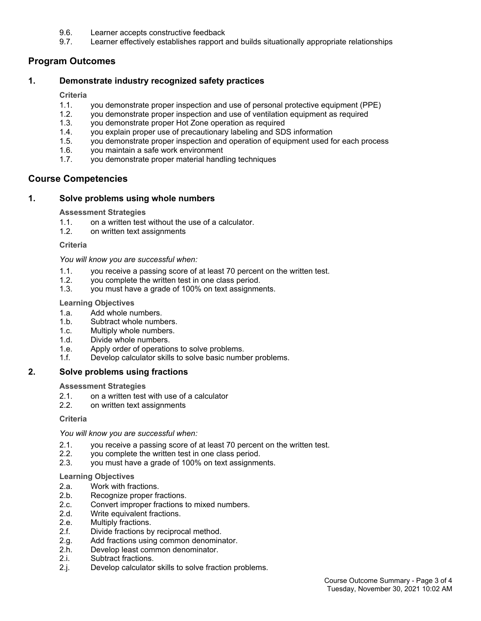- 9.6. Learner accepts constructive feedback
- 9.7. Learner effectively establishes rapport and builds situationally appropriate relationships

# **Program Outcomes**

# **1. Demonstrate industry recognized safety practices**

#### **Criteria**

- 1.1. you demonstrate proper inspection and use of personal protective equipment (PPE)
- 1.2. you demonstrate proper inspection and use of ventilation equipment as required
- 1.3. you demonstrate proper Hot Zone operation as required
- 1.4. you explain proper use of precautionary labeling and SDS information
- 1.5. you demonstrate proper inspection and operation of equipment used for each process
- 1.6. you maintain a safe work environment
- 1.7. you demonstrate proper material handling techniques

# **Course Competencies**

#### **1. Solve problems using whole numbers**

#### **Assessment Strategies**

- 1.1. on a written test without the use of a calculator.
- 1.2. on written text assignments

#### **Criteria**

#### *You will know you are successful when:*

- 1.1. you receive a passing score of at least 70 percent on the written test.
- 1.2. you complete the written test in one class period.<br>1.3. you must have a grade of 100% on text assignme
- you must have a grade of 100% on text assignments.

#### **Learning Objectives**

- 1.a. Add whole numbers.
- 1.b. Subtract whole numbers.
- 1.c. Multiply whole numbers.
- 1.d. Divide whole numbers.
- 1.e. Apply order of operations to solve problems.
- 1.f. Develop calculator skills to solve basic number problems.

# **2. Solve problems using fractions**

#### **Assessment Strategies**

- 2.1. on a written test with use of a calculator
- 2.2. on written text assignments

#### **Criteria**

#### *You will know you are successful when:*

- 2.1. you receive a passing score of at least 70 percent on the written test.
- 2.2. you complete the written test in one class period.
- 2.3. you must have a grade of 100% on text assignments.

#### **Learning Objectives**

- 2.a. Work with fractions.
- 2.b. Recognize proper fractions.
- 2.c. Convert improper fractions to mixed numbers.
- 2.d. Write equivalent fractions.
- 2.e. Multiply fractions.
- 2.f. Divide fractions by reciprocal method.
- 2.g. Add fractions using common denominator.
- 2.h. Develop least common denominator.
- 2.i. Subtract fractions.
- 2.j. Develop calculator skills to solve fraction problems.